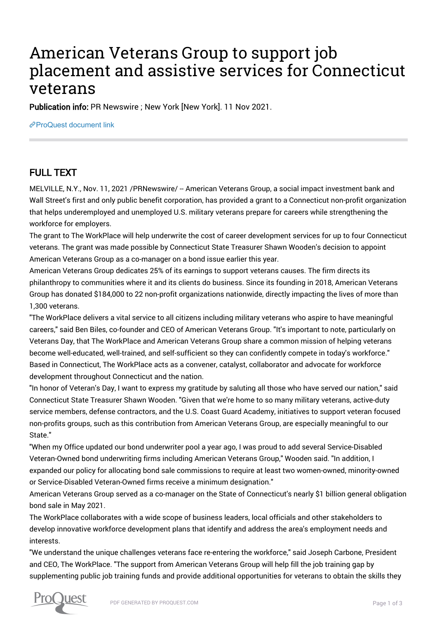# American Veterans Group to support job placement and assistive services for Connecticut veterans

Publication info: PR Newswire ; New York [New York]. 11 Nov 2021.

[ProQuest document link](https://www.proquest.com/wire-feeds/american-veterans-group-support-job-placement/docview/2595974584/se-2?accountid=44910)

# FULL TEXT

MELVILLE, N.Y., Nov. 11, 2021 /PRNewswire/ -- American Veterans Group, a social impact investment bank and Wall Street's first and only public benefit corporation, has provided a grant to a Connecticut non-profit organization that helps underemployed and unemployed U.S. military veterans prepare for careers while strengthening the workforce for employers.

The grant to The WorkPlace will help underwrite the cost of career development services for up to four Connecticut veterans. The grant was made possible by Connecticut State Treasurer Shawn Wooden's decision to appoint American Veterans Group as a co-manager on a bond issue earlier this year.

American Veterans Group dedicates 25% of its earnings to support veterans causes. The firm directs its philanthropy to communities where it and its clients do business. Since its founding in 2018, American Veterans Group has donated \$184,000 to 22 non-profit organizations nationwide, directly impacting the lives of more than 1,300 veterans.

"The WorkPlace delivers a vital service to all citizens including military veterans who aspire to have meaningful careers," said Ben Biles, co-founder and CEO of American Veterans Group. "It's important to note, particularly on Veterans Day, that The WorkPlace and American Veterans Group share a common mission of helping veterans become well-educated, well-trained, and self-sufficient so they can confidently compete in today's workforce." Based in Connecticut, The WorkPlace acts as a convener, catalyst, collaborator and advocate for workforce development throughout Connecticut and the nation.

"In honor of Veteran's Day, I want to express my gratitude by saluting all those who have served our nation," said Connecticut State Treasurer Shawn Wooden. "Given that we're home to so many military veterans, active-duty service members, defense contractors, and the U.S. Coast Guard Academy, initiatives to support veteran focused non-profits groups, such as this contribution from American Veterans Group, are especially meaningful to our State."

"When my Office updated our bond underwriter pool a year ago, I was proud to add several Service-Disabled Veteran-Owned bond underwriting firms including American Veterans Group," Wooden said. "In addition, I expanded our policy for allocating bond sale commissions to require at least two women-owned, minority-owned or Service-Disabled Veteran-Owned firms receive a minimum designation."

American Veterans Group served as a co-manager on the State of Connecticut's nearly \$1 billion general obligation bond sale in May 2021.

The WorkPlace collaborates with a wide scope of business leaders, local officials and other stakeholders to develop innovative workforce development plans that identify and address the area's employment needs and interests.

"We understand the unique challenges veterans face re-entering the workforce," said Joseph Carbone, President and CEO, The WorkPlace. "The support from American Veterans Group will help fill the job training gap by supplementing public job training funds and provide additional opportunities for veterans to obtain the skills they

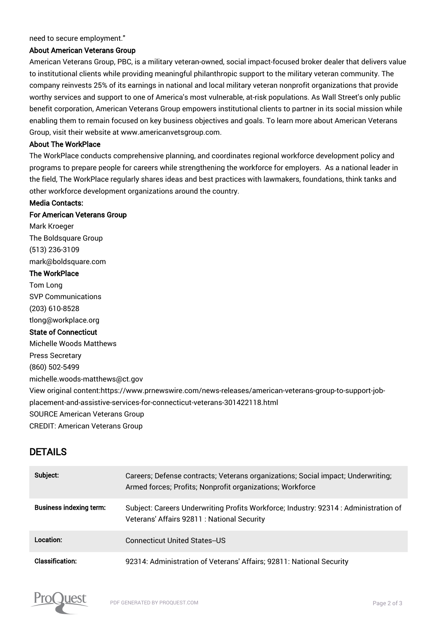#### need to secure employment."

#### About American Veterans Group

American Veterans Group, PBC, is a military veteran-owned, social impact-focused broker dealer that delivers value to institutional clients while providing meaningful philanthropic support to the military veteran community. The company reinvests 25% of its earnings in national and local military veteran nonprofit organizations that provide worthy services and support to one of America's most vulnerable, at-risk populations. As Wall Street's only public benefit corporation, American Veterans Group empowers institutional clients to partner in its social mission while enabling them to remain focused on key business objectives and goals. To learn more about American Veterans Group, visit their website at www.americanvetsgroup.com.

#### About The WorkPlace

The WorkPlace conducts comprehensive planning, and coordinates regional workforce development policy and programs to prepare people for careers while strengthening the workforce for employers. As a national leader in the field, The WorkPlace regularly shares ideas and best practices with lawmakers, foundations, think tanks and other workforce development organizations around the country.

#### Media Contacts:

### For American Veterans Group

Mark Kroeger The Boldsquare Group (513) 236-3109 mark@boldsquare.com The WorkPlace Tom Long SVP Communications (203) 610-8528 tlong@workplace.org State of Connecticut Michelle Woods Matthews Press Secretary (860) 502-5499 michelle.woods-matthews@ct.gov View original content:https://www.prnewswire.com/news-releases/american-veterans-group-to-support-jobplacement-and-assistive-services-for-connecticut-veterans-301422118.html SOURCE American Veterans Group CREDIT: American Veterans Group

## DETAILS

| Subject:                       | Careers; Defense contracts; Veterans organizations; Social impact; Underwriting;<br>Armed forces; Profits; Nonprofit organizations; Workforce |
|--------------------------------|-----------------------------------------------------------------------------------------------------------------------------------------------|
| <b>Business indexing term:</b> | Subject: Careers Underwriting Profits Workforce; Industry: 92314 : Administration of<br>Veterans' Affairs 92811 : National Security           |
| Location:                      | <b>Connecticut United States-US</b>                                                                                                           |
| <b>Classification:</b>         | 92314: Administration of Veterans' Affairs; 92811: National Security                                                                          |